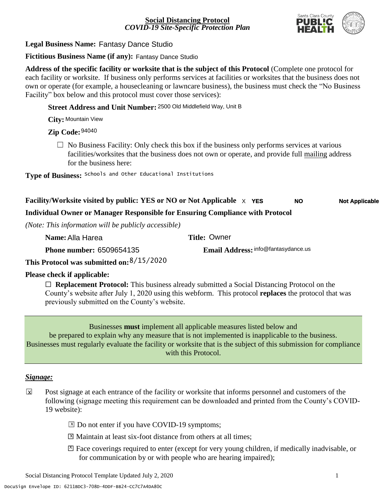

#### **Legal Business Name:**  Fantasy Dance Studio

**Fictitious Business Name (if any):**  Fantasy Dance Studio

**Address of the specific facility or worksite that is the subject of this Protocol** (Complete one protocol for each facility or worksite. If business only performs services at facilities or worksites that the business does not own or operate (for example, a housecleaning or lawncare business), the business must check the "No Business Facility" box below and this protocol must cover those services):

**Street Address and Unit Number:** 2500 Old Middlefield Way, Unit B

**City:** Mountain View

#### **Zip Code:**  94040

 $\Box$  No Business Facility: Only check this box if the business only performs services at various facilities/worksites that the business does not own or operate, and provide full mailing address for the business here:

**Type of Business:** Schools and Other Educational Institutions

#### **Facility/Worksite visited by public: YES or NO or Not Applicable**  $\times$  **YES Not Applicable**

#### **Individual Owner or Manager Responsible for Ensuring Compliance with Protocol**

*(Note: This information will be publicly accessible)*

| Name: Alla Harea                          | <b>Title: Owner</b>                 |
|-------------------------------------------|-------------------------------------|
| <b>Phone number: 6509654135</b>           | Email Address: info@fantasydance.us |
| This Protocol was submitted on: 8/15/2020 |                                     |

#### **Please check if applicable:**

□ **Replacement Protocol:** This business already submitted a Social Distancing Protocol on the County's website after July 1, 2020 using this webform. This protocol **replaces** the protocol that was previously submitted on the County's website.

Businesses **must** implement all applicable measures listed below and be prepared to explain why any measure that is not implemented is inapplicable to the business. Businesses must regularly evaluate the facility or worksite that is the subject of this submission for compliance with this Protocol.

#### *Signage:*

- Post signage at each entrance of the facility or worksite that informs personnel and customers of the following (signage meeting this requirement can be downloaded and printed from the County's COVID-19 website):  $\overline{\mathbf{x}}$ 
	- ⊠ Do not enter if you have COVID-19 symptoms;
	- ⊠ Maintain at least six-foot distance from others at all times;
	- ☐ Face coverings required to enter (except for very young children, if medically inadvisable, or X for communication by or with people who are hearing impaired);

Social Distancing Protocol Template Updated July 2, 2020 1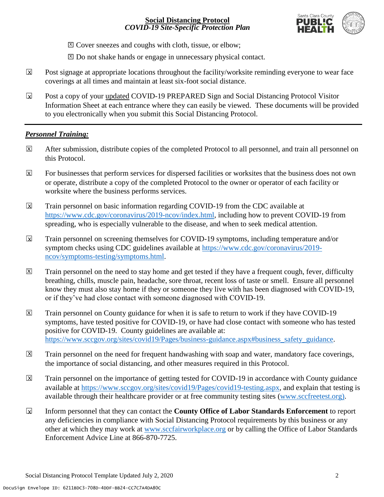

⊠ Cover sneezes and coughs with cloth, tissue, or elbow;

⊠ Do not shake hands or engage in unnecessary physical contact.

- Post signage at appropriate locations throughout the facility/worksite reminding everyone to wear face coverings at all times and maintain at least six-foot social distance. X
- Post a copy of your updated COVID-19 PREPARED Sign and Social Distancing Protocol Visitor Information Sheet at each entrance where they can easily be viewed. These documents will be provided to you electronically when you submit this Social Distancing Protocol.  $\mathbf x$

#### *Personnel Training:*

- After submission, distribute copies of the completed Protocol to all personnel, and train all personnel on this Protocol. X
- For businesses that perform services for dispersed facilities or worksites that the business does not own or operate, distribute a copy of the completed Protocol to the owner or operator of each facility or worksite where the business performs services. X
- Train personnel on basic information regarding COVID-19 from the CDC available at [https://www.cdc.gov/coronavirus/2019-ncov/index.html,](https://www.cdc.gov/coronavirus/2019-ncov/index.html) including how to prevent COVID-19 from spreading, who is especially vulnerable to the disease, and when to seek medical attention.  $\overline{\mathsf{x}}$
- Train personnel on screening themselves for COVID-19 symptoms, including temperature and/or symptom checks using CDC guidelines available at [https://www.cdc.gov/coronavirus/2019](https://www.cdc.gov/coronavirus/2019-ncov/symptoms-testing/symptoms.html) [ncov/symptoms-testing/symptoms.html.](https://www.cdc.gov/coronavirus/2019-ncov/symptoms-testing/symptoms.html)  $\overline{\mathbf{x}}$
- Train personnel on the need to stay home and get tested if they have a frequent cough, fever, difficulty breathing, chills, muscle pain, headache, sore throat, recent loss of taste or smell. Ensure all personnel know they must also stay home if they or someone they live with has been diagnosed with COVID-19, or if they've had close contact with someone diagnosed with COVID-19. X
- Train personnel on County guidance for when it is safe to return to work if they have COVID-19 symptoms, have tested positive for COVID-19, or have had close contact with someone who has tested positive for COVID-19. County guidelines are available at: [https://www.sccgov.org/sites/covid19/Pages/business-guidance.aspx#business\\_safety\\_guidance.](https://www.sccgov.org/sites/covid19/Pages/business-guidance.aspx#business_safety_guidance) X
- Train personnel on the need for frequent handwashing with soap and water, mandatory face coverings, the importance of social distancing, and other measures required in this Protocol.  $\boxed{X}$
- Train personnel on the importance of getting tested for COVID-19 in accordance with County guidance available at [https://www.sccgov.org/sites/covid19/Pages/covid19-testing.aspx,](https://www.sccgov.org/sites/covid19/Pages/covid19-testing.aspx) and explain that testing is available through their healthcare provider or at free community testing sites [\(www.sccfreetest.org\)](http://www.sccfreetest.org/).  $\overline{X}$
- ☐ Inform personnel that they can contact the **County Office of Labor Standards Enforcement** to report any deficiencies in compliance with Social Distancing Protocol requirements by this business or any other at which they may work at [www.sccfairworkplace.org](http://www.sccfairworkplace.org/) or by calling the Office of Labor Standards Enforcement Advice Line at 866-870-7725.  $\mathbf x$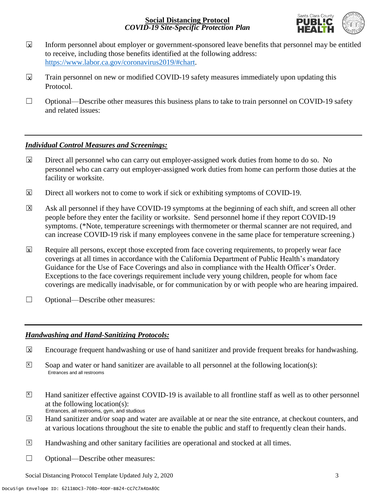

- Inform personnel about employer or government-sponsored leave benefits that personnel may be entitled to receive, including those benefits identified at the following address: [https://www.labor.ca.gov/coronavirus2019/#chart.](https://www.labor.ca.gov/coronavirus2019/#chart)  $\mathbf x$
- Train personnel on new or modified COVID-19 safety measures immediately upon updating this Protocol.  $\mathbf x$
- $\Box$  Optional—Describe other measures this business plans to take to train personnel on COVID-19 safety and related issues:

#### *Individual Control Measures and Screenings:*

- Direct all personnel who can carry out employer-assigned work duties from home to do so. No personnel who can carry out employer-assigned work duties from home can perform those duties at the facility or worksite. X
- Direct all workers not to come to work if sick or exhibiting symptoms of COVID-19.  $\boxtimes$
- Ask all personnel if they have COVID-19 symptoms at the beginning of each shift, and screen all other people before they enter the facility or worksite. Send personnel home if they report COVID-19 symptoms. (\*Note, temperature screenings with thermometer or thermal scanner are not required, and can increase COVID-19 risk if many employees convene in the same place for temperature screening.)  $\overline{\mathsf{x}}$
- Require all persons, except those excepted from face covering requirements, to properly wear face coverings at all times in accordance with the California Department of Public Health's mandatory Guidance for the Use of Face Coverings and also in compliance with the Health Officer's Order. Exceptions to the face coverings requirement include very young children, people for whom face coverings are medically inadvisable, or for communication by or with people who are hearing impaired.  $\mathbf x$
- □ Optional—Describe other measures:

#### *Handwashing and Hand-Sanitizing Protocols:*

- Encourage frequent handwashing or use of hand sanitizer and provide frequent breaks for handwashing.  $\overline{\mathbf{x}}$
- Soap and water or hand sanitizer are available to all personnel at the following location(s): Entrances and all restrooms  $\overline{X}$
- Hand sanitizer effective against COVID-19 is available to all frontline staff as well as to other personnel at the following location(s): Entrances, all restrooms, gym, and studious  $\overline{X}$
- Hand sanitizer and/or soap and water are available at or near the site entrance, at checkout counters, and at various locations throughout the site to enable the public and staff to frequently clean their hands.  $\overline{X}$
- Handwashing and other sanitary facilities are operational and stocked at all times.  $\boxed{\mathsf{X}}$
- ☐ Optional—Describe other measures:

Social Distancing Protocol Template Updated July 2, 2020 3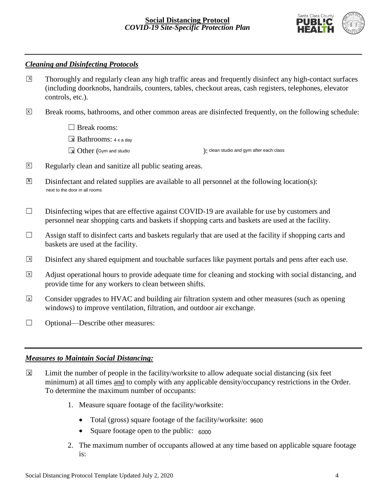

#### *Cleaning and Disinfecting Protocols*

- Thoroughly and regularly clean any high traffic areas and frequently disinfect any high-contact surfaces (including doorknobs, handrails, counters, tables, checkout areas, cash registers, telephones, elevator controls, etc.).  $\boxed{X}$
- Break rooms, bathrooms, and other common areas are disinfected frequently, on the following schedule:  $\overline{X}$

□ Break rooms:

■ Bathrooms: 4 x a day

 $\boxed{\mathbf{X}}$  Other (Gym and studio ):

): clean studio and gym after each class

- Regularly clean and sanitize all public seating areas.  $\overline{X}$
- Disinfectant and related supplies are available to all personnel at the following location(s):  $|X|$ next to the door in all rooms
- $\Box$  Disinfecting wipes that are effective against COVID-19 are available for use by customers and personnel near shopping carts and baskets if shopping carts and baskets are used at the facility.
- $\Box$  Assign staff to disinfect carts and baskets regularly that are used at the facility if shopping carts and baskets are used at the facility.
- Disinfect any shared equipment and touchable surfaces like payment portals and pens after each use.  $\boxed{\mathsf{X}}$
- Adjust operational hours to provide adequate time for cleaning and stocking with social distancing, and provide time for any workers to clean between shifts.  $\overline{X}$
- Consider upgrades to HVAC and building air filtration system and other measures (such as opening windows) to improve ventilation, filtration, and outdoor air exchange.  $\overline{x}$
- ☐ Optional—Describe other measures:

#### *Measures to Maintain Social Distancing:*

- Limit the number of people in the facility/worksite to allow adequate social distancing (six feet minimum) at all times and to comply with any applicable density/occupancy restrictions in the Order. To determine the maximum number of occupants:  $\overline{\mathbf{x}}$ 
	- 1. Measure square footage of the facility/worksite:
		- Total (gross) square footage of the facility/worksite: 9600
		- Square footage open to the public: 6000
	- 2. The maximum number of occupants allowed at any time based on applicable square footage is: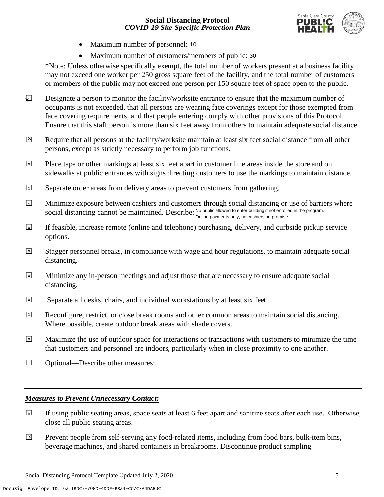

- Maximum number of personnel: 10
- Maximum number of customers/members of public: 30

\*Note: Unless otherwise specifically exempt, the total number of workers present at a business facility may not exceed one worker per 250 gross square feet of the facility, and the total number of customers or members of the public may not exceed one person per 150 square feet of space open to the public.

- Designate a person to monitor the facility/worksite entrance to ensure that the maximum number of occupants is not exceeded, that all persons are wearing face coverings except for those exempted from face covering requirements, and that people entering comply with other provisions of this Protocol. Ensure that this staff person is more than six feet away from others to maintain adequate social distance.  $\sqrt{ }$
- Require that all persons at the facility/worksite maintain at least six feet social distance from all other persons, except as strictly necessary to perform job functions.  $|X|$
- Place tape or other markings at least six feet apart in customer line areas inside the store and on sidewalks at public entrances with signs directing customers to use the markings to maintain distance.  $\overline{\mathbf{x}}$
- Separate order areas from delivery areas to prevent customers from gathering.  $\sqrt{X}$
- Minimize exposure between cashiers and customers through social distancing or use of barriers where social distancing cannot be maintained. Describe: No public allowed to enter building if not enrolled in the program. Online payments only, no cashiers on premise.  $\mathbf{z}$
- If feasible, increase remote (online and telephone) purchasing, delivery, and curbside pickup service options. X
- Stagger personnel breaks, in compliance with wage and hour regulations, to maintain adequate social distancing.  $\vert x \vert$
- Minimize any in-person meetings and adjust those that are necessary to ensure adequate social distancing.  $\overline{\mathbf{x}}$
- Separate all desks, chairs, and individual workstations by at least six feet.  $\overline{x}$
- Reconfigure, restrict, or close break rooms and other common areas to maintain social distancing. Where possible, create outdoor break areas with shade covers.  $\overline{X}$
- Maximize the use of outdoor space for interactions or transactions with customers to minimize the time that customers and personnel are indoors, particularly when in close proximity to one another. X
- ☐ Optional—Describe other measures:

#### *Measures to Prevent Unnecessary Contact:*

- If using public seating areas, space seats at least 6 feet apart and sanitize seats after each use. Otherwise, close all public seating areas.  $\overline{\mathbf{x}}$
- Prevent people from self-serving any food-related items, including from food bars, bulk-item bins, beverage machines, and shared containers in breakrooms. Discontinue product sampling.  $\boxed{\mathsf{x}}$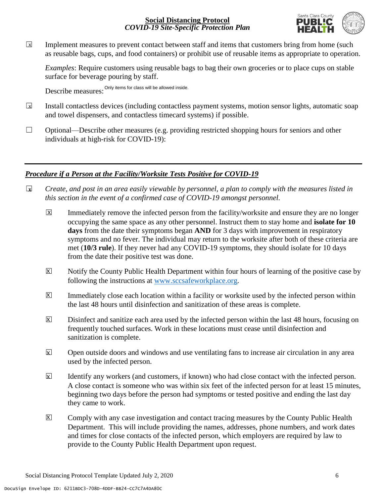

Implement measures to prevent contact between staff and items that customers bring from home (such as reusable bags, cups, and food containers) or prohibit use of reusable items as appropriate to operation.  $\boxed{\mathsf{x}}$ 

*Examples*: Require customers using reusable bags to bag their own groceries or to place cups on stable surface for beverage pouring by staff.

Describe measures: Only items for class will be allowed inside.

- Install contactless devices (including contactless payment systems, motion sensor lights, automatic soap and towel dispensers, and contactless timecard systems) if possible.  $\sqrt{X}$
- $\Box$  Optional—Describe other measures (e.g. providing restricted shopping hours for seniors and other individuals at high-risk for COVID-19):

#### *Procedure if a Person at the Facility/Worksite Tests Positive for COVID-19*

- ☐ *Create, and post in an area easily viewable by personnel, a plan to comply with the measures listed in this section in the event of a confirmed case of COVID-19 amongst personnel.* **X**
	- Immediately remove the infected person from the facility/worksite and ensure they are no longer occupying the same space as any other personnel. Instruct them to stay home and **isolate for 10 days** from the date their symptoms began **AND** for 3 days with improvement in respiratory symptoms and no fever. The individual may return to the worksite after both of these criteria are met (**10/3 rule**). If they never had any COVID-19 symptoms, they should isolate for 10 days from the date their positive test was done. X
	- Notify the County Public Health Department within four hours of learning of the positive case by following the instructions at [www.sccsafeworkplace.org.](http://www.sccsafeworkplace.org/) X
	- Immediately close each location within a facility or worksite used by the infected person within the last 48 hours until disinfection and sanitization of these areas is complete.  $|\mathsf{X}|$
	- Disinfect and sanitize each area used by the infected person within the last 48 hours, focusing on frequently touched surfaces. Work in these locations must cease until disinfection and sanitization is complete. X
	- ☐ Open outside doors and windows and use ventilating fans to increase air circulation in any area used by the infected person.  $\overline{\mathbf{x}}$
	- Identify any workers (and customers, if known) who had close contact with the infected person. A close contact is someone who was within six feet of the infected person for at least 15 minutes, beginning two days before the person had symptoms or tested positive and ending the last day they came to work. X
	- Comply with any case investigation and contact tracing measures by the County Public Health Department. This will include providing the names, addresses, phone numbers, and work dates and times for close contacts of the infected person, which employers are required by law to provide to the County Public Health Department upon request. X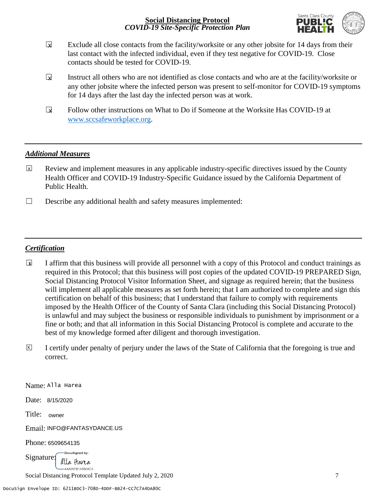

- Exclude all close contacts from the facility/worksite or any other jobsite for 14 days from their last contact with the infected individual, even if they test negative for COVID-19. Close contacts should be tested for COVID-19.  $\mathbf x$
- Instruct all others who are not identified as close contacts and who are at the facility/worksite or any other jobsite where the infected person was present to self-monitor for COVID-19 symptoms for 14 days after the last day the infected person was at work.  $\overline{\mathbf{x}}$
- Follow other instructions on What to Do if Someone at the Worksite Has COVID-19 at [www.sccsafeworkplace.org.](http://www.sccsafeworkplace.org/)  $\mathbf{r}$

#### *Additional Measures*

- Review and implement measures in any applicable industry-specific directives issued by the County Health Officer and COVID-19 Industry-Specific Guidance issued by the California Department of Public Health.  $\boxed{\mathsf{x}}$
- ☐ Describe any additional health and safety measures implemented:

#### *Certification*

- ☐ I affirm that this business will provide all personnel with a copy of this Protocol and conduct trainings as required in this Protocol; that this business will post copies of the updated COVID-19 PREPARED Sign, Social Distancing Protocol Visitor Information Sheet, and signage as required herein; that the business will implement all applicable measures as set forth herein; that I am authorized to complete and sign this certification on behalf of this business; that I understand that failure to comply with requirements imposed by the Health Officer of the County of Santa Clara (including this Social Distancing Protocol) is unlawful and may subject the business or responsible individuals to punishment by imprisonment or a fine or both; and that all information in this Social Distancing Protocol is complete and accurate to the best of my knowledge formed after diligent and thorough investigation. **X**
- ☐ I certify under penalty of perjury under the laws of the State of California that the foregoing is true and correct. X

Name: Alla Harea

Date: 8/15/2020

Title: owner

Email: INFO@FANTASYDANCE.US

Phone: 6509654135

DocuSigned by: Signature: alla Harea -A4A95FB145604C3.

Social Distancing Protocol Template Updated July 2, 2020 7 7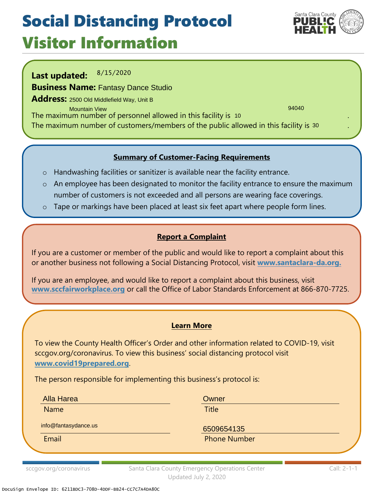## Social Distancing Protocol Visitor Information

Santa Clara County PUBLIC

**Last updated: Business Name:**  Fantasy Dance Studio **Address:** 2500 Old Middlefield Way, Unit B The maximum number of personnel allowed in this facility is . 10 November 2014 19 November 2014 19 November 20 The maximum number of customers/members of the public allowed in this facility is  $^{\rm 30}$   $\,$   $\,$   $\,$  . 8/15/2020 94040 Mountain View

#### **Summary of Customer-Facing Requirements**

- o Handwashing facilities or sanitizer is available near the facility entrance.
- o An employee has been designated to monitor the facility entrance to ensure the maximum number of customers is not exceeded and all persons are wearing face coverings.
- o Tape or markings have been placed at least six feet apart where people form lines.

### **Report a Complaint**

If you are a customer or member of the public and would like to report a complaint about this or another business not following a Social Distancing Protocol, visit **[www.santaclara-da.org.](http://www.santaclara-da.org/)**

If you are an employee, and would like to report a complaint about this business, visit **[www.sccfairworkplace.org](http://www.sccfairworkplace.org/)** or call the Office of Labor Standards Enforcement at 866-870-7725.

#### **Learn More**

To view the County Health Officer's Order and other information related to COVID-19, visit sccgov.org/coronavirus. To view this business' social distancing protocol visit **[www.covid19prepared.org](http://www.covid19prepared.org/)**.

The person responsible for implementing this business's protocol is:

Alla Harea

Name **Title** 

**Owner** 

info@fantasydance.us

Email **Email Email** Phone Number 6509654135

sccgov.org/coronavirus Santa Clara County Emergency Operations Center Updated July 2, 2020